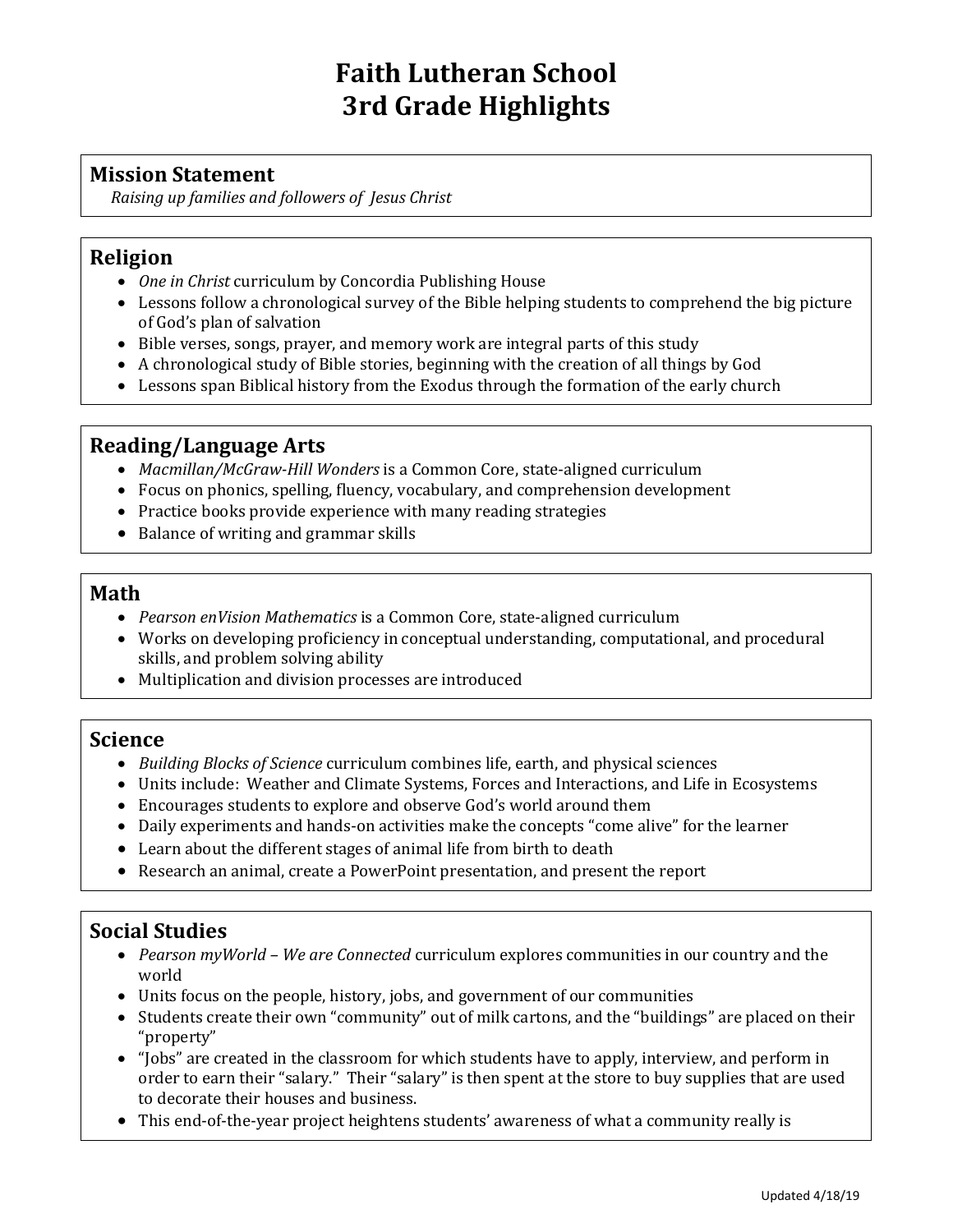# **Faith Lutheran School 3rd Grade Highlights**

## **Mission Statement**

*Raising up families and followers of Jesus Christ*

## **Religion**

- *One in Christ* curriculum by Concordia Publishing House
- Lessons follow a chronological survey of the Bible helping students to comprehend the big picture of God's plan of salvation
- Bible verses, songs, prayer, and memory work are integral parts of this study
- A chronological study of Bible stories, beginning with the creation of all things by God
- Lessons span Biblical history from the Exodus through the formation of the early church

## **Reading/Language Arts**

- *Macmillan/McGraw-Hill Wonders* is a Common Core, state-aligned curriculum
- Focus on phonics, spelling, fluency, vocabulary, and comprehension development
- Practice books provide experience with many reading strategies
- Balance of writing and grammar skills

#### **Math**

- *Pearson enVision Mathematics* is a Common Core, state-aligned curriculum
- Works on developing proficiency in conceptual understanding, computational, and procedural skills, and problem solving ability
- Multiplication and division processes are introduced

#### **Science**

- *Building Blocks of Science* curriculum combines life, earth, and physical sciences
- Units include: Weather and Climate Systems, Forces and Interactions, and Life in Ecosystems
- Encourages students to explore and observe God's world around them
- Daily experiments and hands-on activities make the concepts "come alive" for the learner
- Learn about the different stages of animal life from birth to death
- Research an animal, create a PowerPoint presentation, and present the report

## **Social Studies**

- *Pearson myWorld – We are Connected* curriculum explores communities in our country and the world
- Units focus on the people, history, jobs, and government of our communities
- Students create their own "community" out of milk cartons, and the "buildings" are placed on their "property"
- "Jobs" are created in the classroom for which students have to apply, interview, and perform in order to earn their "salary." Their "salary" is then spent at the store to buy supplies that are used to decorate their houses and business.
- This end-of-the-year project heightens students' awareness of what a community really is